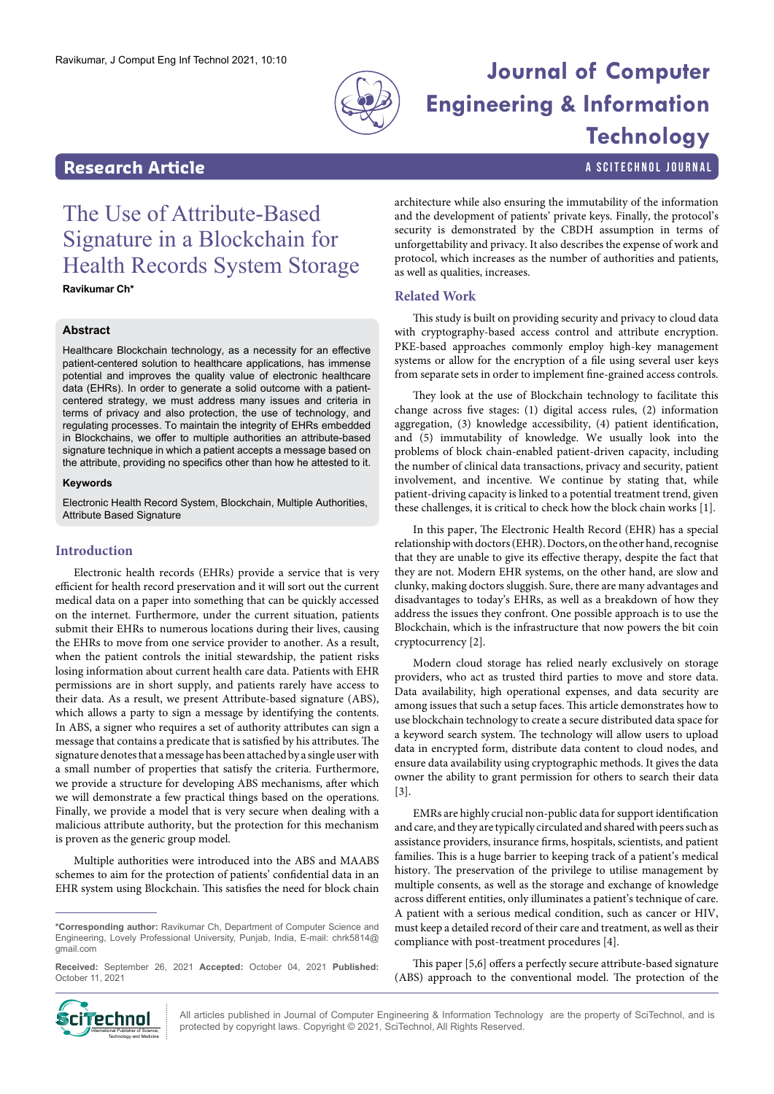

# Ravikumar, J Comput Eng Inf Technol 2021, 10:10 **Journal of Computer Engineering & Information Technology**

# **Research Article a Scittering Contract Article** a Scittechnol journal

# The Use of Attribute-Based Signature in a Blockchain for Health Records System Storage

**Ravikumar Ch\***

# **Abstract**

Healthcare Blockchain technology, as a necessity for an effective patient-centered solution to healthcare applications, has immense potential and improves the quality value of electronic healthcare data (EHRs). In order to generate a solid outcome with a patientcentered strategy, we must address many issues and criteria in terms of privacy and also protection, the use of technology, and regulating processes. To maintain the integrity of EHRs embedded in Blockchains, we offer to multiple authorities an attribute-based signature technique in which a patient accepts a message based on the attribute, providing no specifics other than how he attested to it.

#### **Keywords**

Electronic Health Record System, Blockchain, Multiple Authorities, Attribute Based Signature

# **Introduction**

Electronic health records (EHRs) provide a service that is very efficient for health record preservation and it will sort out the current medical data on a paper into something that can be quickly accessed on the internet. Furthermore, under the current situation, patients submit their EHRs to numerous locations during their lives, causing the EHRs to move from one service provider to another. As a result, when the patient controls the initial stewardship, the patient risks losing information about current health care data. Patients with EHR permissions are in short supply, and patients rarely have access to their data. As a result, we present Attribute-based signature (ABS), which allows a party to sign a message by identifying the contents. In ABS, a signer who requires a set of authority attributes can sign a message that contains a predicate that is satisfied by his attributes. The signature denotes that a message has been attached by a single user with a small number of properties that satisfy the criteria. Furthermore, we provide a structure for developing ABS mechanisms, after which we will demonstrate a few practical things based on the operations. Finally, we provide a model that is very secure when dealing with a malicious attribute authority, but the protection for this mechanism is proven as the generic group model.

Multiple authorities were introduced into the ABS and MAABS schemes to aim for the protection of patients' confidential data in an EHR system using Blockchain. This satisfies the need for block chain architecture while also ensuring the immutability of the information and the development of patients' private keys. Finally, the protocol's security is demonstrated by the CBDH assumption in terms of unforgettability and privacy. It also describes the expense of work and protocol, which increases as the number of authorities and patients, as well as qualities, increases.

# **Related Work**

This study is built on providing security and privacy to cloud data with cryptography-based access control and attribute encryption. PKE-based approaches commonly employ high-key management systems or allow for the encryption of a file using several user keys from separate sets in order to implement fine-grained access controls.

They look at the use of Blockchain technology to facilitate this change across five stages: (1) digital access rules, (2) information aggregation, (3) knowledge accessibility, (4) patient identification, and (5) immutability of knowledge. We usually look into the problems of block chain-enabled patient-driven capacity, including the number of clinical data transactions, privacy and security, patient involvement, and incentive. We continue by stating that, while patient-driving capacity is linked to a potential treatment trend, given these challenges, it is critical to check how the block chain works [1].

In this paper, The Electronic Health Record (EHR) has a special relationship with doctors (EHR). Doctors, on the other hand, recognise that they are unable to give its effective therapy, despite the fact that they are not. Modern EHR systems, on the other hand, are slow and clunky, making doctors sluggish. Sure, there are many advantages and disadvantages to today's EHRs, as well as a breakdown of how they address the issues they confront. One possible approach is to use the Blockchain, which is the infrastructure that now powers the bit coin cryptocurrency [2].

Modern cloud storage has relied nearly exclusively on storage providers, who act as trusted third parties to move and store data. Data availability, high operational expenses, and data security are among issues that such a setup faces. This article demonstrates how to use blockchain technology to create a secure distributed data space for a keyword search system. The technology will allow users to upload data in encrypted form, distribute data content to cloud nodes, and ensure data availability using cryptographic methods. It gives the data owner the ability to grant permission for others to search their data [3].

EMRs are highly crucial non-public data for support identification and care, and they are typically circulated and shared with peers such as assistance providers, insurance firms, hospitals, scientists, and patient families. This is a huge barrier to keeping track of a patient's medical history. The preservation of the privilege to utilise management by multiple consents, as well as the storage and exchange of knowledge across different entities, only illuminates a patient's technique of care. A patient with a serious medical condition, such as cancer or HIV, must keep a detailed record of their care and treatment, as well as their compliance with post-treatment procedures [4].

This paper [5,6] offers a perfectly secure attribute-based signature (ABS) approach to the conventional model. The protection of the



All articles published in Journal of Computer Engineering & Information Technology are the property of SciTechnol, and is **protect and all protected** by copyright laws. Copyright © 2021, SciTechnol, All Rights Reserved.<br>International Publisher of Science, international protected by copyright laws. Copyright © 2021, SciTechnol, All Rights Rese

**<sup>\*</sup>Corresponding author:** Ravikumar Ch, Department of Computer Science and Engineering, Lovely Professional University, Punjab, India, E-mail: chrk5814@ gmail.com

**Received:** September 26, 2021 **Accepted:** October 04, 2021 **Published:** October 11, 2021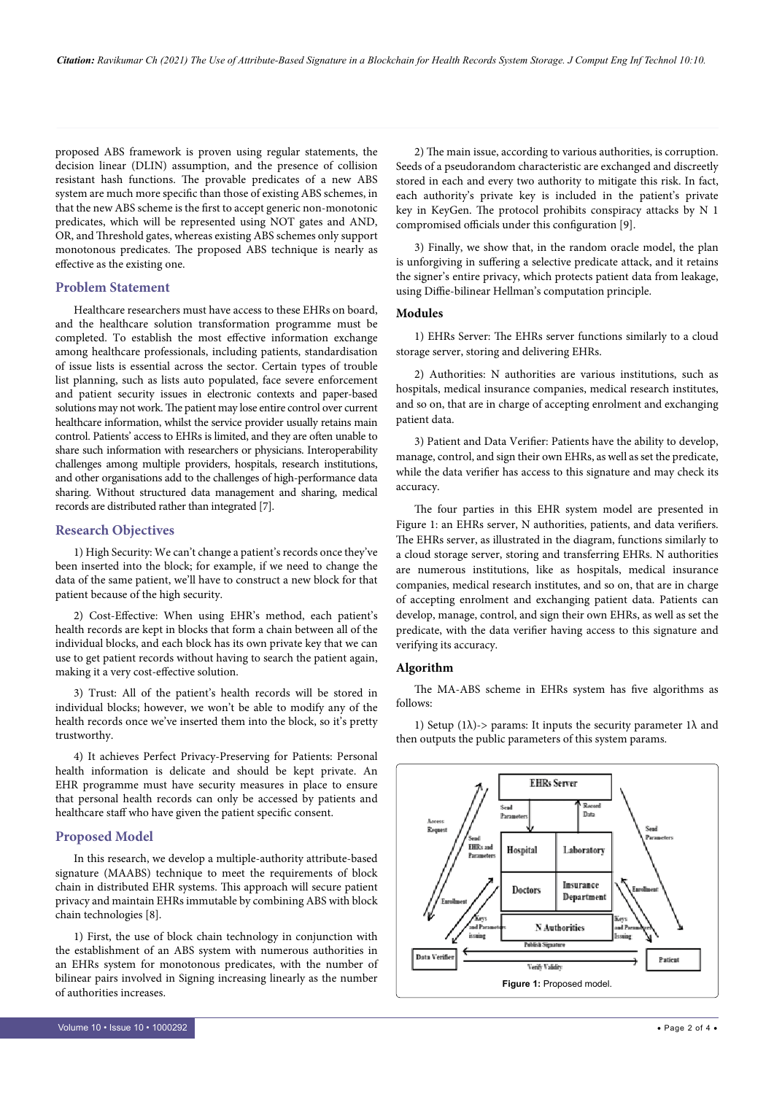proposed ABS framework is proven using regular statements, the decision linear (DLIN) assumption, and the presence of collision resistant hash functions. The provable predicates of a new ABS system are much more specific than those of existing ABS schemes, in that the new ABS scheme is the first to accept generic non-monotonic predicates, which will be represented using NOT gates and AND, OR, and Threshold gates, whereas existing ABS schemes only support monotonous predicates. The proposed ABS technique is nearly as effective as the existing one.

#### **Problem Statement**

Healthcare researchers must have access to these EHRs on board, and the healthcare solution transformation programme must be completed. To establish the most effective information exchange among healthcare professionals, including patients, standardisation of issue lists is essential across the sector. Certain types of trouble list planning, such as lists auto populated, face severe enforcement and patient security issues in electronic contexts and paper-based solutions may not work. The patient may lose entire control over current healthcare information, whilst the service provider usually retains main control. Patients' access to EHRs is limited, and they are often unable to share such information with researchers or physicians. Interoperability challenges among multiple providers, hospitals, research institutions, and other organisations add to the challenges of high-performance data sharing. Without structured data management and sharing, medical records are distributed rather than integrated [7].

#### **Research Objectives**

1) High Security: We can't change a patient's records once they've been inserted into the block; for example, if we need to change the data of the same patient, we'll have to construct a new block for that patient because of the high security.

2) Cost-Effective: When using EHR's method, each patient's health records are kept in blocks that form a chain between all of the individual blocks, and each block has its own private key that we can use to get patient records without having to search the patient again, making it a very cost-effective solution.

3) Trust: All of the patient's health records will be stored in individual blocks; however, we won't be able to modify any of the health records once we've inserted them into the block, so it's pretty trustworthy.

4) It achieves Perfect Privacy-Preserving for Patients: Personal health information is delicate and should be kept private. An EHR programme must have security measures in place to ensure that personal health records can only be accessed by patients and healthcare staff who have given the patient specific consent.

#### **Proposed Model**

In this research, we develop a multiple-authority attribute-based signature (MAABS) technique to meet the requirements of block chain in distributed EHR systems. This approach will secure patient privacy and maintain EHRs immutable by combining ABS with block chain technologies [8].

1) First, the use of block chain technology in conjunction with the establishment of an ABS system with numerous authorities in an EHRs system for monotonous predicates, with the number of bilinear pairs involved in Signing increasing linearly as the number of authorities increases.

2) The main issue, according to various authorities, is corruption. Seeds of a pseudorandom characteristic are exchanged and discreetly stored in each and every two authority to mitigate this risk. In fact, each authority's private key is included in the patient's private key in KeyGen. The protocol prohibits conspiracy attacks by N 1 compromised officials under this configuration [9].

3) Finally, we show that, in the random oracle model, the plan is unforgiving in suffering a selective predicate attack, and it retains the signer's entire privacy, which protects patient data from leakage, using Diffie-bilinear Hellman's computation principle.

### **Modules**

1) EHRs Server: The EHRs server functions similarly to a cloud storage server, storing and delivering EHRs.

2) Authorities: N authorities are various institutions, such as hospitals, medical insurance companies, medical research institutes, and so on, that are in charge of accepting enrolment and exchanging patient data.

3) Patient and Data Verifier: Patients have the ability to develop, manage, control, and sign their own EHRs, as well as set the predicate, while the data verifier has access to this signature and may check its accuracy.

The four parties in this EHR system model are presented in Figure 1: an EHRs server, N authorities, patients, and data verifiers. The EHRs server, as illustrated in the diagram, functions similarly to a cloud storage server, storing and transferring EHRs. N authorities are numerous institutions, like as hospitals, medical insurance companies, medical research institutes, and so on, that are in charge of accepting enrolment and exchanging patient data. Patients can develop, manage, control, and sign their own EHRs, as well as set the predicate, with the data verifier having access to this signature and verifying its accuracy.

### **Algorithm**

The MA-ABS scheme in EHRs system has five algorithms as follows:

1) Setup (1 $\lambda$ )-> params: It inputs the security parameter 1 $\lambda$  and then outputs the public parameters of this system params.

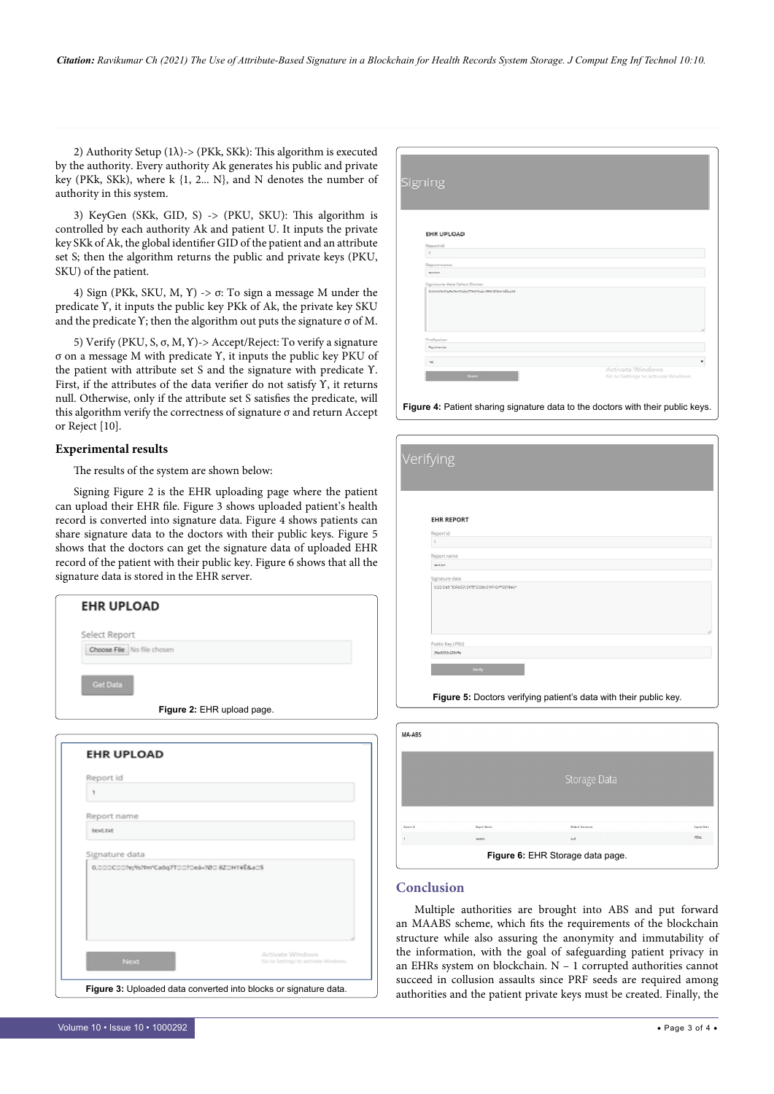2) Authority Setup (1 $\lambda$ ) -> (PKk, SKk): This algorithm is executed by the authority. Every authority Ak generates his public and private key (PKk, SKk), where k {1, 2... N}, and N denotes the number of authority in this system.

3) KeyGen (SKk, GID, S) -> (PKU, SKU): This algorithm is controlled by each authority Ak and patient U. It inputs the private key SKk of Ak, the global identifier GID of the patient and an attribute set S; then the algorithm returns the public and private keys (PKU, SKU) of the patient.

4) Sign (PKk, SKU, M, Υ) ->  $\sigma$ : To sign a message M under the predicate ϒ, it inputs the public key PKk of Ak, the private key SKU and the predicate  $\Upsilon$ ; then the algorithm out puts the signature  $\sigma$  of M.

5) Verify (PKU, S, σ, M, ϒ)-> Accept/Reject: To verify a signature σ on a message M with predicate ϒ, it inputs the public key PKU of the patient with attribute set S and the signature with predicate ϒ. First, if the attributes of the data verifier do not satisfy ϒ, it returns null. Otherwise, only if the attribute set S satisfies the predicate, will this algorithm verify the correctness of signature σ and return Accept or Reject [10].

# **Experimental results**

The results of the system are shown below:

Signing Figure 2 is the EHR uploading page where the patient can upload their EHR file. Figure 3 shows uploaded patient's health record is converted into signature data. Figure 4 shows patients can share signature data to the doctors with their public keys. Figure 5 shows that the doctors can get the signature data of uploaded EHR record of the patient with their public key. Figure 6 shows that all the signature data is stored in the EHR server.

| Select Report              |                                              |  |
|----------------------------|----------------------------------------------|--|
| Choose File No file chosen |                                              |  |
| <b>Get Data</b>            |                                              |  |
|                            | Figure 2: EHR upload page.                   |  |
|                            |                                              |  |
| <b>EHR UPLOAD</b>          |                                              |  |
|                            |                                              |  |
|                            |                                              |  |
| Report id                  |                                              |  |
| 1                          |                                              |  |
| Report name                |                                              |  |
| text.txt                   |                                              |  |
| Signature data             |                                              |  |
|                            | 0.000C00?ej%?Þn*Caōq7T00?Deá=?Ø0 8Z0H1VÉ&a05 |  |

**Figure 3:** Uploaded data converted into blocks or signature data.

| Signing                               |                  |
|---------------------------------------|------------------|
|                                       |                  |
|                                       |                  |
|                                       |                  |
|                                       |                  |
| EHR UPLOAD                            |                  |
| Report id                             |                  |
| $\mathcal{R}$                         |                  |
| Report name                           |                  |
| meter                                 |                  |
| Signature data Select/Doctor          |                  |
| topoteneven-saleTopotei-Woltenvillage |                  |
|                                       |                  |
|                                       |                  |
|                                       |                  |
|                                       |                  |
|                                       |                  |
| Profession                            |                  |
| <b>Reynherite:</b>                    |                  |
|                                       |                  |
|                                       |                  |
| $\rightarrow$                         | Activate Windows |

**Figure 4:** Patient sharing signature data to the doctors with their public keys.

| <b>EHR REPORT</b> |  |
|-------------------|--|
| Report id         |  |
| $\overline{1}$    |  |
| Report name       |  |
| text.txt          |  |
| Signature data    |  |
|                   |  |
| Public Key (PKU)  |  |
| 3fec6055c289cffe  |  |
|                   |  |

| MA-ABS                           |             |                         |                    |  |  |
|----------------------------------|-------------|-------------------------|--------------------|--|--|
|                                  |             |                         |                    |  |  |
|                                  |             | Storage Data            |                    |  |  |
|                                  |             |                         |                    |  |  |
|                                  |             |                         |                    |  |  |
| Report id                        | Report Name | <b>Patient Username</b> | <b>Report Data</b> |  |  |
|                                  | text.br     | nall.                   | view               |  |  |
| Figure 6: EHR Storage data page. |             |                         |                    |  |  |

# **Conclusion**

Multiple authorities are brought into ABS and put forward an MAABS scheme, which fits the requirements of the blockchain structure while also assuring the anonymity and immutability of the information, with the goal of safeguarding patient privacy in an EHRs system on blockchain. N – 1 corrupted authorities cannot succeed in collusion assaults since PRF seeds are required among authorities and the patient private keys must be created. Finally, the